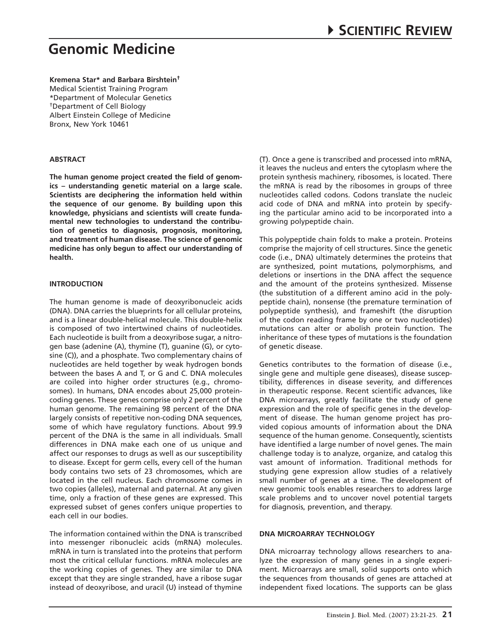**Kremena Star\* and Barbara Birshtein†** Medical Scientist Training Program \*Department of Molecular Genetics †Department of Cell Biology Albert Einstein College of Medicine Bronx, New York 10461

#### **Abstract**

**The human genome project created the field of genomics – understanding genetic material on a large scale. Scientists are deciphering the information held within the sequence of our genome. By building upon this knowledge, physicians and scientists will create fundamental new technologies to understand the contribution of genetics to diagnosis, prognosis, monitoring, and treatment of human disease. The science of genomic medicine has only begun to affect our understanding of health.** 

#### **Introduction**

The human genome is made of deoxyribonucleic acids (DNA). DNA carries the blueprints for all cellular proteins, and is a linear double-helical molecule. This double-helix is composed of two intertwined chains of nucleotides. Each nucleotide is built from a deoxyribose sugar, a nitrogen base (adenine (A), thymine (T), guanine (G), or cytosine (C)), and a phosphate. Two complementary chains of nucleotides are held together by weak hydrogen bonds between the bases A and T, or G and C. DNA molecules are coiled into higher order structures (e.g., chromosomes). In humans, DNA encodes about 25,000 proteincoding genes. These genes comprise only 2 percent of the human genome. The remaining 98 percent of the DNA largely consists of repetitive non-coding DNA sequences, some of which have regulatory functions. About 99.9 percent of the DNA is the same in all individuals. Small differences in DNA make each one of us unique and affect our responses to drugs as well as our susceptibility to disease. Except for germ cells, every cell of the human body contains two sets of 23 chromosomes, which are located in the cell nucleus. Each chromosome comes in two copies (alleles), maternal and paternal. At any given time, only a fraction of these genes are expressed. This expressed subset of genes confers unique properties to each cell in our bodies.

The information contained within the DNA is transcribed into messenger ribonucleic acids (mRNA) molecules. mRNA in turn is translated into the proteins that perform most the critical cellular functions. mRNA molecules are the working copies of genes. They are similar to DNA except that they are single stranded, have a ribose sugar instead of deoxyribose, and uracil (U) instead of thymine (T). Once a gene is transcribed and processed into mRNA, it leaves the nucleus and enters the cytoplasm where the protein synthesis machinery, ribosomes, is located. There the mRNA is read by the ribosomes in groups of three nucleotides called codons. Codons translate the nucleic acid code of DNA and mRNA into protein by specifying the particular amino acid to be incorporated into a growing polypeptide chain.

This polypeptide chain folds to make a protein. Proteins comprise the majority of cell structures. Since the genetic code (i.e., DNA) ultimately determines the proteins that are synthesized, point mutations, polymorphisms, and deletions or insertions in the DNA affect the sequence and the amount of the proteins synthesized. Missense (the substitution of a different amino acid in the polypeptide chain), nonsense (the premature termination of polypeptide synthesis), and frameshift (the disruption of the codon reading frame by one or two nucleotides) mutations can alter or abolish protein function. The inheritance of these types of mutations is the foundation of genetic disease.

Genetics contributes to the formation of disease (i.e., single gene and multiple gene diseases), disease susceptibility, differences in disease severity, and differences in therapeutic response. Recent scientific advances, like DNA microarrays, greatly facilitate the study of gene expression and the role of specific genes in the development of disease. The human genome project has provided copious amounts of information about the DNA sequence of the human genome. Consequently, scientists have identified a large number of novel genes. The main challenge today is to analyze, organize, and catalog this vast amount of information. Traditional methods for studying gene expression allow studies of a relatively small number of genes at a time. The development of new genomic tools enables researchers to address large scale problems and to uncover novel potential targets for diagnosis, prevention, and therapy.

#### **DNA Microarray Technology**

DNA microarray technology allows researchers to analyze the expression of many genes in a single experiment. Microarrays are small, solid supports onto which the sequences from thousands of genes are attached at independent fixed locations. The supports can be glass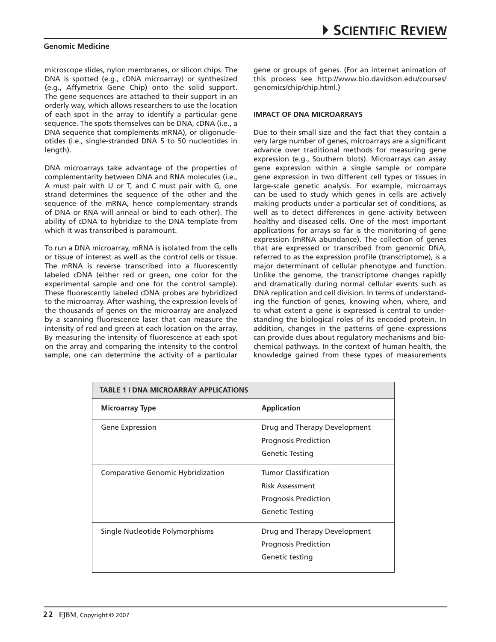microscope slides, nylon membranes, or silicon chips. The DNA is spotted (e.g., cDNA microarray) or synthesized (e.g., Affymetrix Gene Chip) onto the solid support. The gene sequences are attached to their support in an orderly way, which allows researchers to use the location of each spot in the array to identify a particular gene sequence. The spots themselves can be DNA, cDNA (i.e., a DNA sequence that complements mRNA), or oligonucleotides (i.e., single-stranded DNA 5 to 50 nucleotides in length).

DNA microarrays take advantage of the properties of complementarity between DNA and RNA molecules (i.e., A must pair with U or T, and C must pair with G, one strand determines the sequence of the other and the sequence of the mRNA, hence complementary strands of DNA or RNA will anneal or bind to each other). The ability of cDNA to hybridize to the DNA template from which it was transcribed is paramount.

To run a DNA microarray, mRNA is isolated from the cells or tissue of interest as well as the control cells or tissue. The mRNA is reverse transcribed into a fluorescently labeled cDNA (either red or green, one color for the experimental sample and one for the control sample). These fluorescently labeled cDNA probes are hybridized to the microarray. After washing, the expression levels of the thousands of genes on the microarray are analyzed by a scanning fluorescence laser that can measure the intensity of red and green at each location on the array. By measuring the intensity of fluorescence at each spot on the array and comparing the intensity to the control sample, one can determine the activity of a particular

gene or groups of genes. (For an internet animation of this process see http://www.bio.davidson.edu/courses/ genomics/chip/chip.html.)

## **Impact of DNA Microarrays**

Due to their small size and the fact that they contain a very large number of genes, microarrays are a significant advance over traditional methods for measuring gene expression (e.g., Southern blots). Microarrays can assay gene expression within a single sample or compare gene expression in two different cell types or tissues in large-scale genetic analysis. For example, microarrays can be used to study which genes in cells are actively making products under a particular set of conditions, as well as to detect differences in gene activity between healthy and diseased cells. One of the most important applications for arrays so far is the monitoring of gene expression (mRNA abundance). The collection of genes that are expressed or transcribed from genomic DNA, referred to as the expression profile (transcriptome), is a major determinant of cellular phenotype and function. Unlike the genome, the transcriptome changes rapidly and dramatically during normal cellular events such as DNA replication and cell division. In terms of understanding the function of genes, knowing when, where, and to what extent a gene is expressed is central to understanding the biological roles of its encoded protein. In addition, changes in the patterns of gene expressions can provide clues about regulatory mechanisms and biochemical pathways. In the context of human health, the knowledge gained from these types of measurements

| <b>TABLE 1 I DNA MICROARRAY APPLICATIONS</b> |                                                                                                  |
|----------------------------------------------|--------------------------------------------------------------------------------------------------|
| <b>Microarray Type</b>                       | <b>Application</b>                                                                               |
| Gene Expression                              | Drug and Therapy Development<br><b>Prognosis Prediction</b><br>Genetic Testing                   |
| Comparative Genomic Hybridization            | <b>Tumor Classification</b><br>Risk Assessment<br><b>Prognosis Prediction</b><br>Genetic Testing |
| Single Nucleotide Polymorphisms              | Drug and Therapy Development<br><b>Prognosis Prediction</b><br>Genetic testing                   |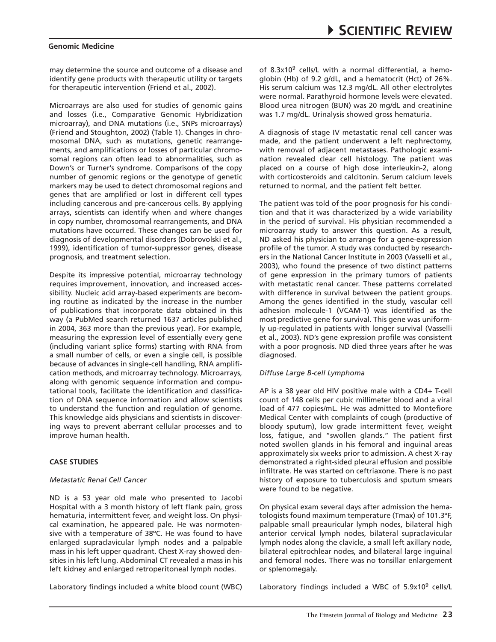may determine the source and outcome of a disease and identify gene products with therapeutic utility or targets for therapeutic intervention (Friend et al., 2002).

Microarrays are also used for studies of genomic gains and losses (i.e., Comparative Genomic Hybridization microarray), and DNA mutations (i.e., SNPs microarrays) (Friend and Stoughton, 2002) (Table 1). Changes in chromosomal DNA, such as mutations, genetic rearrangements, and amplifications or losses of particular chromosomal regions can often lead to abnormalities, such as Down's or Turner's syndrome. Comparisons of the copy number of genomic regions or the genotype of genetic markers may be used to detect chromosomal regions and genes that are amplified or lost in different cell types including cancerous and pre-cancerous cells. By applying arrays, scientists can identify when and where changes in copy number, chromosomal rearrangements, and DNA mutations have occurred. These changes can be used for diagnosis of developmental disorders (Dobrovolski et al., 1999), identification of tumor-suppressor genes, disease prognosis, and treatment selection.

Despite its impressive potential, microarray technology requires improvement, innovation, and increased accessibility. Nucleic acid array-based experiments are becoming routine as indicated by the increase in the number of publications that incorporate data obtained in this way (a PubMed search returned 1637 articles published in 2004, 363 more than the previous year). For example, measuring the expression level of essentially every gene (including variant splice forms) starting with RNA from a small number of cells, or even a single cell, is possible because of advances in single-cell handling, RNA amplification methods, and microarray technology. Microarrays, along with genomic sequence information and computational tools, facilitate the identification and classification of DNA sequence information and allow scientists to understand the function and regulation of genome. This knowledge aids physicians and scientists in discovering ways to prevent aberrant cellular processes and to improve human health.

## **Case Studies**

## *Metastatic Renal Cell Cancer*

ND is a 53 year old male who presented to Jacobi Hospital with a 3 month history of left flank pain, gross hematuria, intermittent fever, and weight loss. On physical examination, he appeared pale. He was normotensive with a temperature of 38ºC. He was found to have enlarged supraclavicular lymph nodes and a palpable mass in his left upper quadrant. Chest X-ray showed densities in his left lung. Abdominal CT revealed a mass in his left kidney and enlarged retroperitoneal lymph nodes.

Laboratory findings included a white blood count (WBC)

of 8.3x10 $9$  cells/L with a normal differential, a hemoglobin (Hb) of 9.2 g/dL, and a hematocrit (Hct) of 26%. His serum calcium was 12.3 mg/dL. All other electrolytes were normal. Parathyroid hormone levels were elevated. Blood urea nitrogen (BUN) was 20 mg/dL and creatinine was 1.7 mg/dL. Urinalysis showed gross hematuria.

A diagnosis of stage IV metastatic renal cell cancer was made, and the patient underwent a left nephrectomy, with removal of adjacent metastases. Pathologic examination revealed clear cell histology. The patient was placed on a course of high dose interleukin-2, along with corticosteroids and calcitonin. Serum calcium levels returned to normal, and the patient felt better.

The patient was told of the poor prognosis for his condition and that it was characterized by a wide variability in the period of survival. His physician recommended a microarray study to answer this question. As a result, ND asked his physician to arrange for a gene-expression profile of the tumor. A study was conducted by researchers in the National Cancer Institute in 2003 (Vasselli et al., 2003), who found the presence of two distinct patterns of gene expression in the primary tumors of patients with metastatic renal cancer. These patterns correlated with difference in survival between the patient groups. Among the genes identified in the study, vascular cell adhesion molecule-1 (VCAM-1) was identified as the most predictive gene for survival. This gene was uniformly up-regulated in patients with longer survival (Vasselli et al., 2003). ND's gene expression profile was consistent with a poor prognosis. ND died three years after he was diagnosed.

## *Diffuse Large B-cell Lymphoma*

AP is a 38 year old HIV positive male with a CD4+ T-cell count of 148 cells per cubic millimeter blood and a viral load of 477 copies/mL. He was admitted to Montefiore Medical Center with complaints of cough (productive of bloody sputum), low grade intermittent fever, weight loss, fatigue, and "swollen glands." The patient first noted swollen glands in his femoral and inguinal areas approximately six weeks prior to admission. A chest X-ray demonstrated a right-sided pleural effusion and possible infiltrate. He was started on ceftriaxone. There is no past history of exposure to tuberculosis and sputum smears were found to be negative.

On physical exam several days after admission the hematologists found maximum temperature (Tmax) of 101.3ºF, palpable small preauricular lymph nodes, bilateral high anterior cervical lymph nodes, bilateral supraclavicular lymph nodes along the clavicle, a small left axillary node, bilateral epitrochlear nodes, and bilateral large inguinal and femoral nodes. There was no tonsillar enlargement or splenomegaly.

Laboratory findings included a WBC of 5.9x10<sup>9</sup> cells/L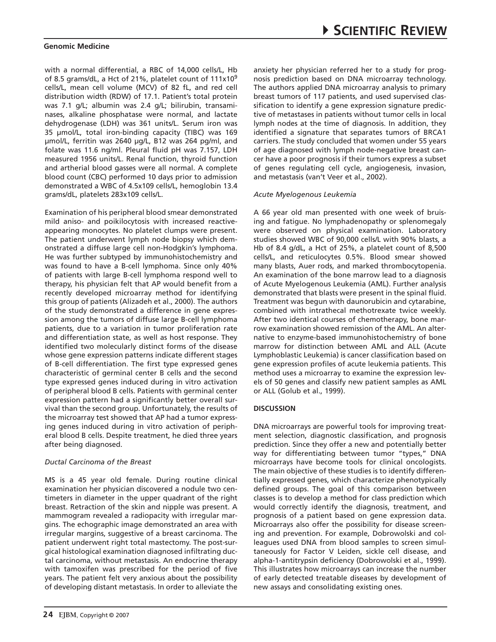with a normal differential, a RBC of 14,000 cells/L, Hb of 8.5 grams/dL, a Hct of 21%, platelet count of 111x10<sup>9</sup> cells/L, mean cell volume (MCV) of 82 fL, and red cell distribution width (RDW) of 17.1. Patient's total protein was 7.1 g/L; albumin was 2.4 g/L; bilirubin, transaminases, alkaline phosphatase were normal, and lactate dehydrogenase (LDH) was 361 units/L. Serum iron was 35 µmol/L, total iron-binding capacity (TIBC) was 169 µmol/L, ferritin was 2640 µg/L, B12 was 264 pg/ml, and folate was 11.6 ng/ml. Pleural fluid pH was 7.157, LDH measured 1956 units/L. Renal function, thyroid function and artherial blood gasses were all normal. A complete blood count (CBC) performed 10 days prior to admission demonstrated a WBC of 4.5x109 cells/L, hemoglobin 13.4 grams/dL, platelets 283x109 cells/L.

Examination of his peripheral blood smear demonstrated mild aniso- and poikilocytosis with increased reactiveappearing monocytes. No platelet clumps were present. The patient underwent lymph node biopsy which demonstrated a diffuse large cell non-Hodgkin's lymphoma. He was further subtyped by immunohistochemistry and was found to have a B-cell lymphoma. Since only 40% of patients with large B-cell lymphoma respond well to therapy, his physician felt that AP would benefit from a recently developed microarray method for identifying this group of patients (Alizadeh et al., 2000). The authors of the study demonstrated a difference in gene expression among the tumors of diffuse large B-cell lymphoma patients, due to a variation in tumor proliferation rate and differentiation state, as well as host response. They identified two molecularly distinct forms of the disease whose gene expression patterns indicate different stages of B-cell differentiation. The first type expressed genes characteristic of germinal center B cells and the second type expressed genes induced during in vitro activation of peripheral blood B cells. Patients with germinal center expression pattern had a significantly better overall survival than the second group. Unfortunately, the results of the microarray test showed that AP had a tumor expressing genes induced during in vitro activation of peripheral blood B cells. Despite treatment, he died three years after being diagnosed.

#### *Ductal Carcinoma of the Breast*

MS is a 45 year old female. During routine clinical examination her physician discovered a nodule two centimeters in diameter in the upper quadrant of the right breast. Retraction of the skin and nipple was present. A mammogram revealed a radiopacity with irregular margins. The echographic image demonstrated an area with irregular margins, suggestive of a breast carcinoma. The patient underwent right total mastectomy. The post-surgical histological examination diagnosed infiltrating ductal carcinoma, without metastasis. An endocrine therapy with tamoxifen was prescribed for the period of five years. The patient felt very anxious about the possibility of developing distant metastasis. In order to alleviate the anxiety her physician referred her to a study for prognosis prediction based on DNA microarray technology. The authors applied DNA microarray analysis to primary breast tumors of 117 patients, and used supervised classification to identify a gene expression signature predictive of metastases in patients without tumor cells in local lymph nodes at the time of diagnosis. In addition, they identified a signature that separates tumors of BRCA1 carriers. The study concluded that women under 55 years of age diagnosed with lymph node-negative breast cancer have a poor prognosis if their tumors express a subset of genes regulating cell cycle, angiogenesis, invasion, and metastasis (van't Veer et al., 2002).

## *Acute Myelogenous Leukemia*

A 66 year old man presented with one week of bruising and fatigue. No lymphadenopathy or splenomegaly were observed on physical examination. Laboratory studies showed WBC of 90,000 cells/L with 90% blasts, a Hb of 8.4 g/dL, a Hct of 25%, a platelet count of 8,500 cells/L, and reticulocytes 0.5%. Blood smear showed many blasts, Auer rods, and marked thrombocytopenia. An examination of the bone marrow lead to a diagnosis of Acute Myelogenous Leukemia (AML). Further analysis demonstrated that blasts were present in the spinal fluid. Treatment was begun with daunorubicin and cytarabine, combined with intrathecal methotrexate twice weekly. After two identical courses of chemotherapy, bone marrow examination showed remission of the AML. An alternative to enzyme-based immunohistochemistry of bone marrow for distinction between AML and ALL (Acute Lymphoblastic Leukemia) is cancer classification based on gene expression profiles of acute leukemia patients. This method uses a microarray to examine the expression levels of 50 genes and classify new patient samples as AML or ALL (Golub et al., 1999).

## **Discussion**

DNA microarrays are powerful tools for improving treatment selection, diagnostic classification, and prognosis prediction. Since they offer a new and potentially better way for differentiating between tumor "types," DNA microarrays have become tools for clinical oncologists. The main objective of these studies is to identify differentially expressed genes, which characterize phenotypically defined groups. The goal of this comparison between classes is to develop a method for class prediction which would correctly identify the diagnosis, treatment, and prognosis of a patient based on gene expression data. Microarrays also offer the possibility for disease screening and prevention. For example, Dobrowolski and colleagues used DNA from blood samples to screen simultaneously for Factor V Leiden, sickle cell disease, and alpha-1-antitrypsin deficiency (Dobrowolski et al., 1999). This illustrates how microarrays can increase the number of early detected treatable diseases by development of new assays and consolidating existing ones.